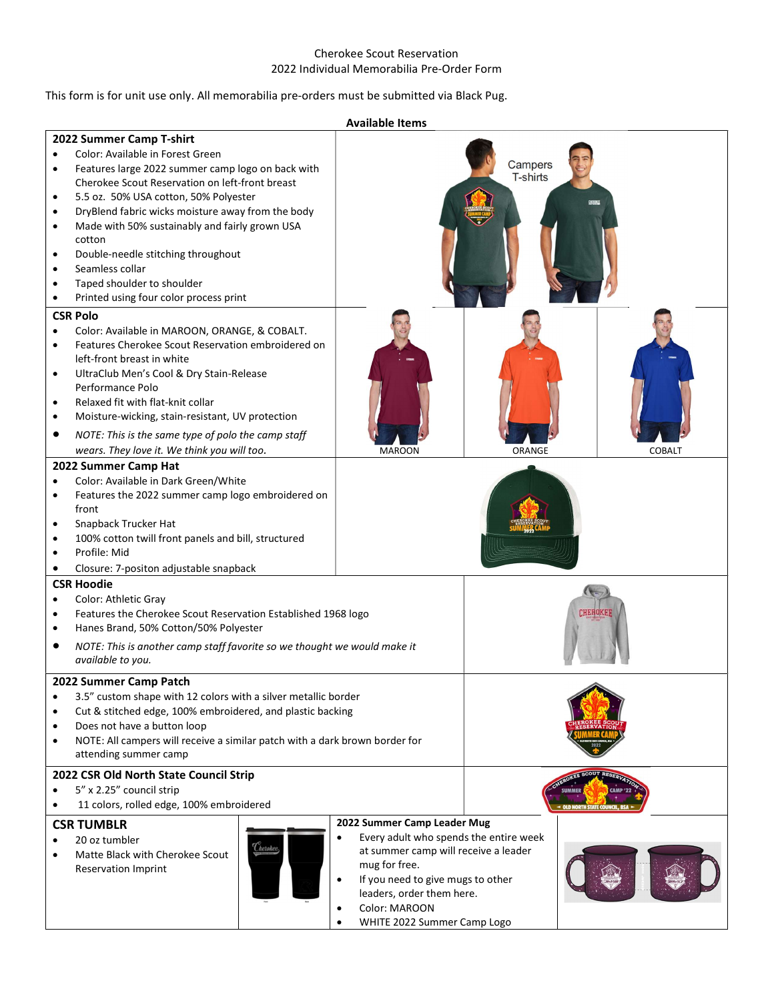## Cherokee Scout Reservation 2022 Individual Memorabilia Pre-Order Form

## This form is for unit use only. All memorabilia pre-orders must be submitted via Black Pug.

|                                                                                                                                                                                                                                                                                                                                                                                                                                                                                                                                                                                      | <b>Available Items</b>                                                                                                                                                                                                                                                     |                            |               |
|--------------------------------------------------------------------------------------------------------------------------------------------------------------------------------------------------------------------------------------------------------------------------------------------------------------------------------------------------------------------------------------------------------------------------------------------------------------------------------------------------------------------------------------------------------------------------------------|----------------------------------------------------------------------------------------------------------------------------------------------------------------------------------------------------------------------------------------------------------------------------|----------------------------|---------------|
| 2022 Summer Camp T-shirt<br>Color: Available in Forest Green<br>$\bullet$<br>Features large 2022 summer camp logo on back with<br>$\bullet$<br>Cherokee Scout Reservation on left-front breast<br>5.5 oz. 50% USA cotton, 50% Polyester<br>$\bullet$<br>DryBlend fabric wicks moisture away from the body<br>$\bullet$<br>Made with 50% sustainably and fairly grown USA<br>$\bullet$<br>cotton<br>Double-needle stitching throughout<br>$\bullet$<br>Seamless collar<br>$\bullet$<br>Taped shoulder to shoulder<br>$\bullet$<br>Printed using four color process print<br>$\bullet$ |                                                                                                                                                                                                                                                                            | Campers<br><b>T-shirts</b> |               |
| <b>CSR Polo</b><br>Color: Available in MAROON, ORANGE, & COBALT.<br>$\bullet$<br>Features Cherokee Scout Reservation embroidered on<br>$\bullet$<br>left-front breast in white<br>UltraClub Men's Cool & Dry Stain-Release<br>$\bullet$<br>Performance Polo<br>Relaxed fit with flat-knit collar<br>$\bullet$<br>Moisture-wicking, stain-resistant, UV protection<br>$\bullet$<br>$\bullet$<br>NOTE: This is the same type of polo the camp staff<br>wears. They love it. We think you will too.                                                                                     | <b>MAROON</b>                                                                                                                                                                                                                                                              | ORANGE                     | <b>COBALT</b> |
| 2022 Summer Camp Hat<br>Color: Available in Dark Green/White<br>$\bullet$<br>Features the 2022 summer camp logo embroidered on<br>$\bullet$<br>front<br>Snapback Trucker Hat<br>٠<br>100% cotton twill front panels and bill, structured<br>$\bullet$<br>Profile: Mid<br>$\bullet$<br>Closure: 7-positon adjustable snapback<br>$\bullet$                                                                                                                                                                                                                                            |                                                                                                                                                                                                                                                                            |                            |               |
| <b>CSR Hoodie</b><br>Color: Athletic Gray<br>$\bullet$<br>Features the Cherokee Scout Reservation Established 1968 logo<br>$\bullet$<br>Hanes Brand, 50% Cotton/50% Polyester<br>$\bullet$<br>NOTE: This is another camp staff favorite so we thought we would make it<br>٠<br>available to you.                                                                                                                                                                                                                                                                                     |                                                                                                                                                                                                                                                                            | <b>CHEROKE</b>             |               |
| 2022 Summer Camp Patch<br>3.5" custom shape with 12 colors with a silver metallic border<br>$\bullet$<br>Cut & stitched edge, 100% embroidered, and plastic backing<br>$\bullet$<br>Does not have a button loop<br>$\bullet$<br>NOTE: All campers will receive a similar patch with a dark brown border for<br>$\bullet$<br>attending summer camp                                                                                                                                                                                                                                    |                                                                                                                                                                                                                                                                            |                            |               |
| 2022 CSR Old North State Council Strip<br>5" x 2.25" council strip<br>$\bullet$<br>11 colors, rolled edge, 100% embroidered<br>٠                                                                                                                                                                                                                                                                                                                                                                                                                                                     |                                                                                                                                                                                                                                                                            |                            |               |
| <b>CSR TUMBLR</b><br>20 oz tumbler<br>$\bullet$<br><i><b><i>Cherokee</i></b></i><br>Matte Black with Cherokee Scout<br>$\bullet$<br><b>Reservation Imprint</b>                                                                                                                                                                                                                                                                                                                                                                                                                       | 2022 Summer Camp Leader Mug<br>Every adult who spends the entire week<br>$\bullet$<br>at summer camp will receive a leader<br>mug for free.<br>If you need to give mugs to other<br>leaders, order them here.<br>Color: MAROON<br>$\bullet$<br>WHITE 2022 Summer Camp Logo |                            |               |